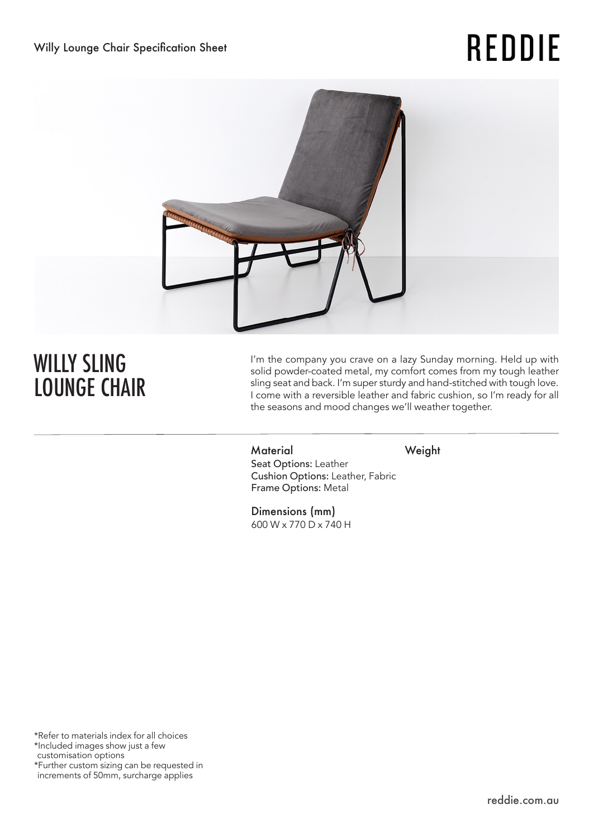# **REDDIE**



## WILLY SLING LOUNGE CHAIR

I'm the company you crave on a lazy Sunday morning. Held up with solid powder-coated metal, my comfort comes from my tough leather sling seat and back. I'm super sturdy and hand-stitched with tough love. I come with a reversible leather and fabric cushion, so I'm ready for all the seasons and mood changes we'll weather together.

Material Weight Seat Options: Leather Cushion Options: Leather, Fabric Frame Options: Metal

Dimensions (mm) 600 W x 770 D x 740 H

\*Refer to materials index for all choices \*Included images show just a few customisation options \*Further custom sizing can be requested in increments of 50mm, surcharge applies